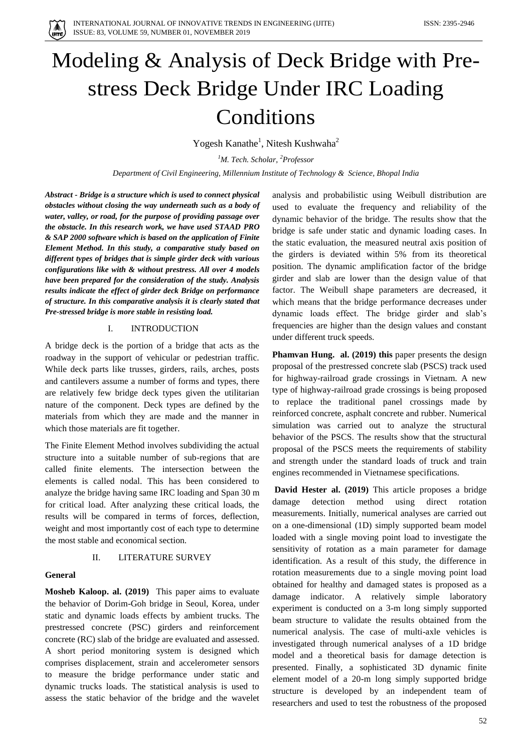

# Modeling & Analysis of Deck Bridge with Prestress Deck Bridge Under IRC Loading Conditions

Yogesh Kanathe<sup>1</sup>, Nitesh Kushwaha<sup>2</sup>

*<sup>1</sup>M. Tech. Scholar, <sup>2</sup>Professor*

*Department of Civil Engineering, Millennium Institute of Technology & Science, Bhopal India*

*Abstract - Bridge is a structure which is used to connect physical obstacles without closing the way underneath such as a body of water, valley, or road, for the purpose of providing passage over the obstacle. In this research work, we have used STAAD PRO & SAP 2000 software which is based on the application of Finite Element Method. In this study, a comparative study based on different types of bridges that is simple girder deck with various configurations like with & without prestress. All over 4 models have been prepared for the consideration of the study. Analysis results indicate the effect of girder deck Bridge on performance of structure. In this comparative analysis it is clearly stated that Pre-stressed bridge is more stable in resisting load.* 

## I. INTRODUCTION

A bridge deck is the portion of a bridge that acts as the roadway in the support of vehicular or pedestrian traffic. While deck parts like trusses, girders, rails, arches, posts and cantilevers assume a number of forms and types, there are relatively few bridge deck types given the utilitarian nature of the component. Deck types are defined by the materials from which they are made and the manner in which those materials are fit together.

The Finite Element Method involves subdividing the actual structure into a suitable number of sub-regions that are called finite elements. The intersection between the elements is called nodal. This has been considered to analyze the bridge having same IRC loading and Span 30 m for critical load. After analyzing these critical loads, the results will be compared in terms of forces, deflection, weight and most importantly cost of each type to determine the most stable and economical section.

## II. LITERATURE SURVEY

#### **General**

**Mosheb Kaloop. al. (2019)** This paper aims to evaluate the behavior of Dorim-Goh bridge in Seoul, Korea, under static and dynamic loads effects by ambient trucks. The prestressed concrete (PSC) girders and reinforcement concrete (RC) slab of the bridge are evaluated and assessed. A short period monitoring system is designed which comprises displacement, strain and accelerometer sensors to measure the bridge performance under static and dynamic trucks loads. The statistical analysis is used to assess the static behavior of the bridge and the wavelet

analysis and probabilistic using Weibull distribution are used to evaluate the frequency and reliability of the dynamic behavior of the bridge. The results show that the bridge is safe under static and dynamic loading cases. In the static evaluation, the measured neutral axis position of the girders is deviated within 5% from its theoretical position. The dynamic amplification factor of the bridge girder and slab are lower than the design value of that factor. The Weibull shape parameters are decreased, it which means that the bridge performance decreases under dynamic loads effect. The bridge girder and slab's frequencies are higher than the design values and constant under different truck speeds.

**Phamvan Hung. al. (2019) this** paper presents the design proposal of the prestressed concrete slab (PSCS) track used for highway-railroad grade crossings in Vietnam. A new type of highway-railroad grade crossings is being proposed to replace the traditional panel crossings made by reinforced concrete, asphalt concrete and rubber. Numerical simulation was carried out to analyze the structural behavior of the PSCS. The results show that the structural proposal of the PSCS meets the requirements of stability and strength under the standard loads of truck and train engines recommended in Vietnamese specifications.

**David Hester al. (2019)** This article proposes a bridge damage detection method using direct rotation measurements. Initially, numerical analyses are carried out on a one-dimensional (1D) simply supported beam model loaded with a single moving point load to investigate the sensitivity of rotation as a main parameter for damage identification. As a result of this study, the difference in rotation measurements due to a single moving point load obtained for healthy and damaged states is proposed as a damage indicator. A relatively simple laboratory experiment is conducted on a 3-m long simply supported beam structure to validate the results obtained from the numerical analysis. The case of multi-axle vehicles is investigated through numerical analyses of a 1D bridge model and a theoretical basis for damage detection is presented. Finally, a sophisticated 3D dynamic finite element model of a 20-m long simply supported bridge structure is developed by an independent team of researchers and used to test the robustness of the proposed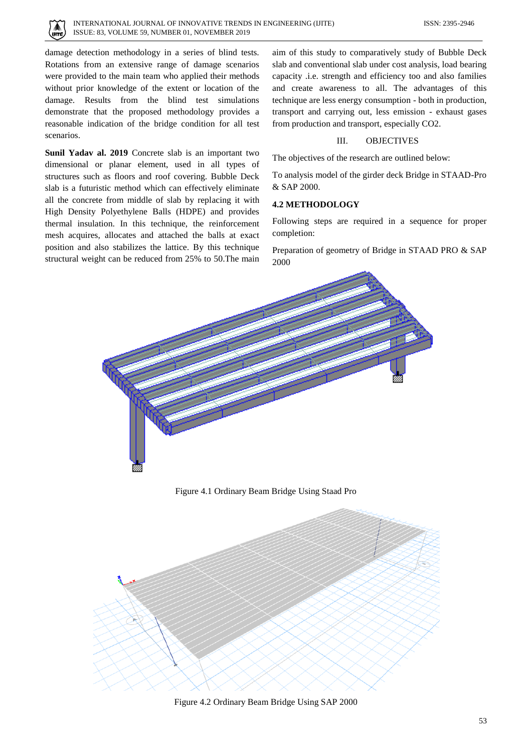

damage detection methodology in a series of blind tests. Rotations from an extensive range of damage scenarios were provided to the main team who applied their methods without prior knowledge of the extent or location of the damage. Results from the blind test simulations demonstrate that the proposed methodology provides a reasonable indication of the bridge condition for all test scenarios.

**Sunil Yadav al. 2019** Concrete slab is an important two dimensional or planar element, used in all types of structures such as floors and roof covering. Bubble Deck slab is a futuristic method which can effectively eliminate all the concrete from middle of slab by replacing it with High Density Polyethylene Balls (HDPE) and provides thermal insulation. In this technique, the reinforcement mesh acquires, allocates and attached the balls at exact position and also stabilizes the lattice. By this technique structural weight can be reduced from 25% to 50.The main aim of this study to comparatively study of Bubble Deck slab and conventional slab under cost analysis, load bearing capacity .i.e. strength and efficiency too and also families and create awareness to all. The advantages of this technique are less energy consumption - both in production, transport and carrying out, less emission - exhaust gases from production and transport, especially CO2.

## III. OBJECTIVES

The objectives of the research are outlined below:

To analysis model of the girder deck Bridge in STAAD-Pro & SAP 2000.

### **4.2 METHODOLOGY**

Following steps are required in a sequence for proper completion:

Preparation of geometry of Bridge in STAAD PRO & SAP 2000



Figure 4.1 Ordinary Beam Bridge Using Staad Pro



Figure 4.2 Ordinary Beam Bridge Using SAP 2000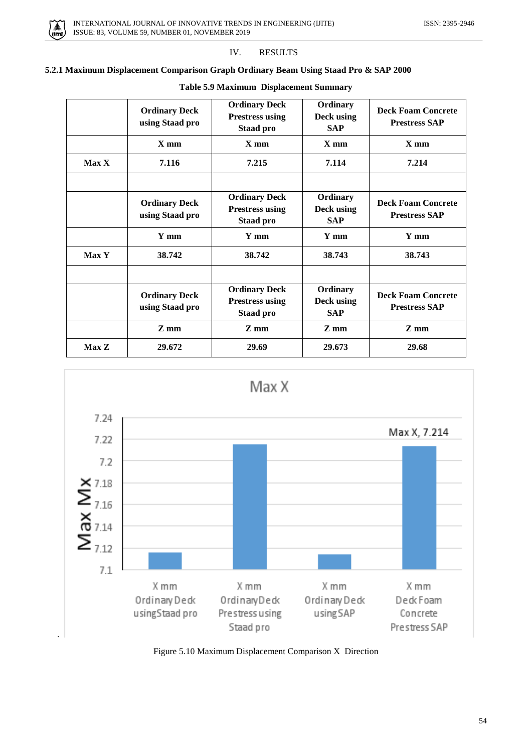

## IV. RESULTS

## **5.2.1 Maximum Displacement Comparison Graph Ordinary Beam Using Staad Pro & SAP 2000**

| <b>Table 5.9 Maximum Displacement Summary</b> |  |  |
|-----------------------------------------------|--|--|
|                                               |  |  |

|              | <b>Ordinary Deck</b><br>using Staad pro | <b>Ordinary Deck</b><br><b>Prestress using</b><br><b>Staad pro</b> | Ordinary<br>Deck using<br><b>SAP</b> | <b>Deck Foam Concrete</b><br><b>Prestress SAP</b> |
|--------------|-----------------------------------------|--------------------------------------------------------------------|--------------------------------------|---------------------------------------------------|
|              | $X$ mm                                  | $X$ mm                                                             | $X$ mm                               | $X$ mm                                            |
| <b>Max X</b> | 7.116                                   | 7.215                                                              | 7.114                                | 7.214                                             |
|              |                                         |                                                                    |                                      |                                                   |
|              | <b>Ordinary Deck</b><br>using Staad pro | <b>Ordinary Deck</b><br><b>Prestress using</b><br><b>Staad pro</b> | Ordinary<br>Deck using<br><b>SAP</b> | <b>Deck Foam Concrete</b><br><b>Prestress SAP</b> |
|              | Y mm                                    | Y mm                                                               | Y mm                                 | Y mm                                              |
| <b>Max Y</b> | 38.742                                  | 38.742                                                             | 38.743                               | 38.743                                            |
|              | <b>Ordinary Deck</b><br>using Staad pro | <b>Ordinary Deck</b><br><b>Prestress using</b>                     | Ordinary<br>Deck using               | <b>Deck Foam Concrete</b><br><b>Prestress SAP</b> |
|              |                                         | <b>Staad pro</b>                                                   | <b>SAP</b>                           |                                                   |
|              | $Z$ mm                                  | $Z$ mm                                                             | $Z$ mm                               | Z mm                                              |
| Max Z        | 29.672                                  | 29.69                                                              | 29.673                               | 29.68                                             |



Figure 5.10 Maximum Displacement Comparison X Direction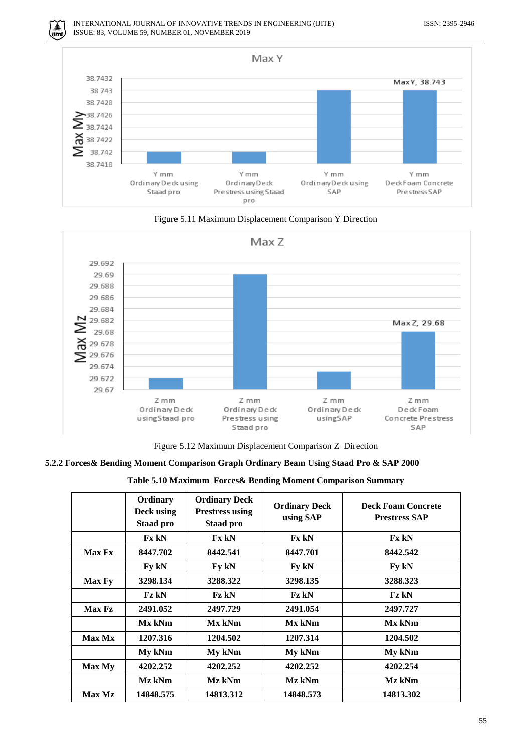.<br>IITE







Figure 5.12 Maximum Displacement Comparison Z Direction

## **5.2.2 Forces& Bending Moment Comparison Graph Ordinary Beam Using Staad Pro & SAP 2000**

| Table 5.10 Maximum Forces& Bending Moment Comparison Summary |  |  |  |  |
|--------------------------------------------------------------|--|--|--|--|
|--------------------------------------------------------------|--|--|--|--|

|               | Ordinary<br>Deck using<br><b>Staad pro</b> | <b>Ordinary Deck</b><br><b>Prestress using</b><br><b>Staad pro</b> | <b>Ordinary Deck</b><br>using SAP | <b>Deck Foam Concrete</b><br><b>Prestress SAP</b> |
|---------------|--------------------------------------------|--------------------------------------------------------------------|-----------------------------------|---------------------------------------------------|
|               | <b>Fx kN</b>                               | <b>Fx kN</b>                                                       | <b>Fx kN</b>                      | <b>Fx kN</b>                                      |
| <b>Max Fx</b> | 8447.702                                   | 8442.541                                                           | 8447.701                          | 8442.542                                          |
|               | Fy kN                                      | Fy kN                                                              | Fy kN                             | Fy kN                                             |
| <b>Max Fy</b> | 3298.134                                   | 3288.322                                                           | 3298.135                          | 3288.323                                          |
|               | <b>Fz kN</b>                               | <b>Fz kN</b>                                                       | <b>Fz kN</b>                      | <b>Fz kN</b>                                      |
| Max Fz        | 2491.052                                   | 2497.729                                                           | 2491.054                          | 2497.727                                          |
|               | Mx kNm                                     | Mx kNm                                                             | Mx kNm                            | Mx kNm                                            |
| <b>Max Mx</b> | 1207.316                                   | 1204.502                                                           | 1207.314                          | 1204.502                                          |
|               | My kNm                                     | My kNm                                                             | My kNm                            | My kNm                                            |
| Max My        | 4202.252                                   | 4202.252                                                           | 4202.252                          | 4202.254                                          |
|               | Mz kNm                                     | Mz kNm                                                             | Mz kNm                            | Mz kNm                                            |
| Max Mz        | 14848.575                                  | 14813.312                                                          | 14848.573                         | 14813.302                                         |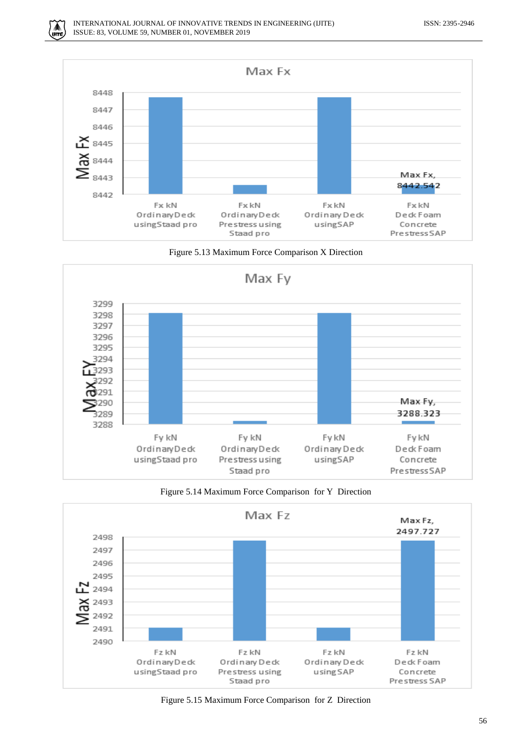











Figure 5.15 Maximum Force Comparison for Z Direction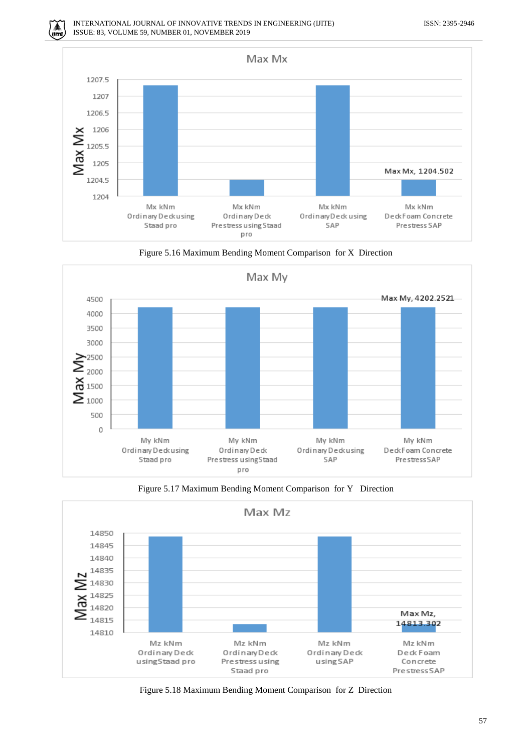







Figure 5.17 Maximum Bending Moment Comparison for Y Direction



Figure 5.18 Maximum Bending Moment Comparison for Z Direction